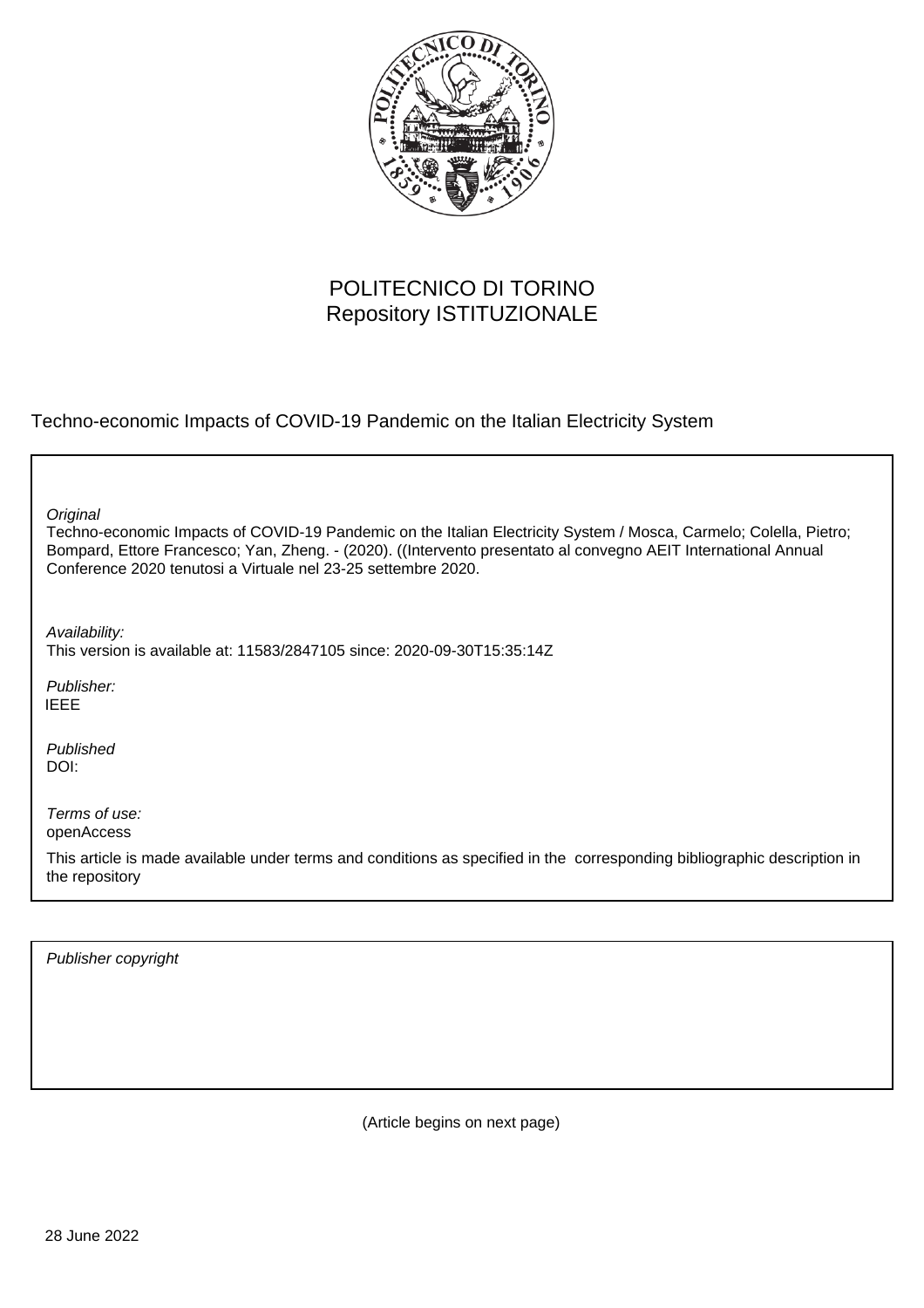

# POLITECNICO DI TORINO Repository ISTITUZIONALE

Techno-economic Impacts of COVID-19 Pandemic on the Italian Electricity System

| Original<br>Techno-economic Impacts of COVID-19 Pandemic on the Italian Electricity System / Mosca, Carmelo; Colella, Pietro;<br>Bompard, Ettore Francesco; Yan, Zheng. - (2020). ((Intervento presentato al convegno AEIT International Annual<br>Conference 2020 tenutosi a Virtuale nel 23-25 settembre 2020. |
|------------------------------------------------------------------------------------------------------------------------------------------------------------------------------------------------------------------------------------------------------------------------------------------------------------------|
| Availability:<br>This version is available at: 11583/2847105 since: 2020-09-30T15:35:14Z                                                                                                                                                                                                                         |
| Publisher:<br><b>IEEE</b>                                                                                                                                                                                                                                                                                        |
| Published<br>DOI:                                                                                                                                                                                                                                                                                                |
| Terms of use:<br>openAccess<br>This article is made available under terms and conditions as specified in the corresponding bibliographic description in<br>the repository                                                                                                                                        |
|                                                                                                                                                                                                                                                                                                                  |

Publisher copyright

(Article begins on next page)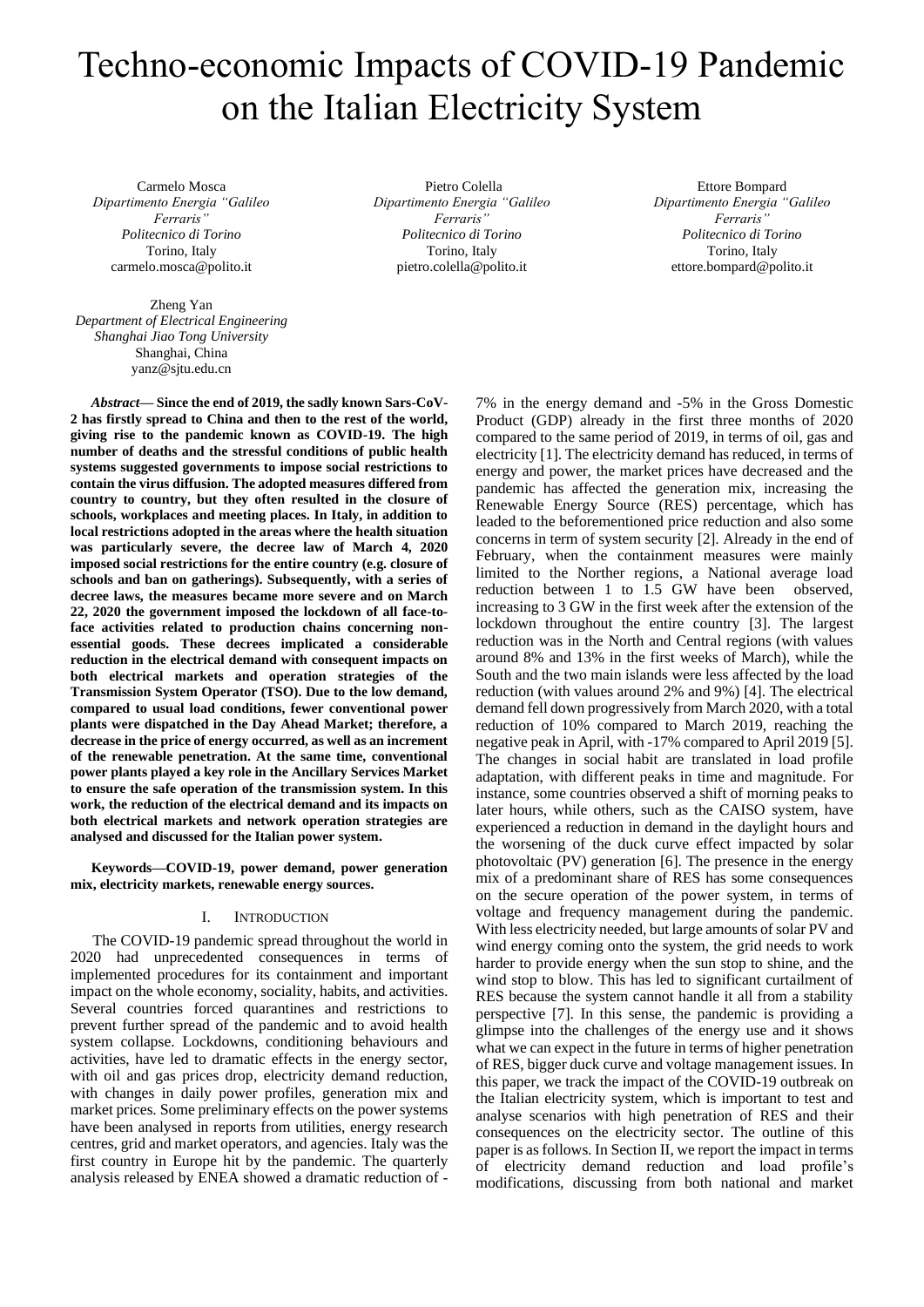# Techno-economic Impacts of COVID-19 Pandemic on the Italian Electricity System

Carmelo Mosca *Dipartimento Energia "Galileo Ferraris" Politecnico di Torino* Torino, Italy carmelo.mosca@polito.it

Zheng Yan *Department of Electrical Engineering Shanghai Jiao Tong University* Shanghai, China yanz@sjtu.edu.cn

Pietro Colella *Dipartimento Energia "Galileo Ferraris" Politecnico di Torino* Torino, Italy pietro.colella@polito.it

Ettore Bompard *Dipartimento Energia "Galileo Ferraris" Politecnico di Torino* Torino, Italy ettore.bompard@polito.it

*Abstract***— Since the end of 2019, the sadly known Sars-CoV-2 has firstly spread to China and then to the rest of the world, giving rise to the pandemic known as COVID-19. The high number of deaths and the stressful conditions of public health systems suggested governments to impose social restrictions to contain the virus diffusion. The adopted measures differed from country to country, but they often resulted in the closure of schools, workplaces and meeting places. In Italy, in addition to local restrictions adopted in the areas where the health situation was particularly severe, the decree law of March 4, 2020 imposed social restrictions for the entire country (e.g. closure of schools and ban on gatherings). Subsequently, with a series of decree laws, the measures became more severe and on March 22, 2020 the government imposed the lockdown of all face-toface activities related to production chains concerning nonessential goods. These decrees implicated a considerable reduction in the electrical demand with consequent impacts on both electrical markets and operation strategies of the Transmission System Operator (TSO). Due to the low demand, compared to usual load conditions, fewer conventional power plants were dispatched in the Day Ahead Market; therefore, a decrease in the price of energy occurred, as well as an increment of the renewable penetration. At the same time, conventional power plants played a key role in the Ancillary Services Market to ensure the safe operation of the transmission system. In this work, the reduction of the electrical demand and its impacts on both electrical markets and network operation strategies are analysed and discussed for the Italian power system.**

**Keywords—COVID-19, power demand, power generation mix, electricity markets, renewable energy sources.**

## I. INTRODUCTION

The COVID-19 pandemic spread throughout the world in 2020 had unprecedented consequences in terms of implemented procedures for its containment and important impact on the whole economy, sociality, habits, and activities. Several countries forced quarantines and restrictions to prevent further spread of the pandemic and to avoid health system collapse. Lockdowns, conditioning behaviours and activities, have led to dramatic effects in the energy sector, with oil and gas prices drop, electricity demand reduction, with changes in daily power profiles, generation mix and market prices. Some preliminary effects on the power systems have been analysed in reports from utilities, energy research centres, grid and market operators, and agencies. Italy was the first country in Europe hit by the pandemic. The quarterly analysis released by ENEA showed a dramatic reduction of -

7% in the energy demand and -5% in the Gross Domestic Product (GDP) already in the first three months of 2020 compared to the same period of 2019, in terms of oil, gas and electricity [\[1\].](#page-6-0) The electricity demand has reduced, in terms of energy and power, the market prices have decreased and the pandemic has affected the generation mix, increasing the Renewable Energy Source (RES) percentage, which has leaded to the beforementioned price reduction and also some concerns in term of system security [\[2\].](#page-6-1) Already in the end of February, when the containment measures were mainly limited to the Norther regions, a National average load reduction between 1 to 1.5 GW have been observed, increasing to 3 GW in the first week after the extension of the lockdown throughout the entire country [\[3\].](#page-6-2) The largest reduction was in the North and Central regions (with values around 8% and 13% in the first weeks of March), while the South and the two main islands were less affected by the load reduction (with values around 2% and 9%) [\[4\].](#page-6-3) The electrical demand fell down progressively from March 2020, with a total reduction of 10% compared to March 2019, reaching the negative peak in April, with -17% compared to April 2019 [\[5\].](#page-6-4) The changes in social habit are translated in load profile adaptation, with different peaks in time and magnitude. For instance, some countries observed a shift of morning peaks to later hours, while others, such as the CAISO system, have experienced a reduction in demand in the daylight hours and the worsening of the duck curve effect impacted by solar photovoltaic (PV) generation [\[6\].](#page-6-5) The presence in the energy mix of a predominant share of RES has some consequences on the secure operation of the power system, in terms of voltage and frequency management during the pandemic. With less electricity needed, but large amounts of solar PV and wind energy coming onto the system, the grid needs to work harder to provide energy when the sun stop to shine, and the wind stop to blow. This has led to significant curtailment of RES because the system cannot handle it all from a stability perspective [\[7\].](#page-6-6) In this sense, the pandemic is providing a glimpse into the challenges of the energy use and it shows what we can expect in the future in terms of higher penetration of RES, bigger duck curve and voltage management issues. In this paper, we track the impact of the COVID-19 outbreak on the Italian electricity system, which is important to test and analyse scenarios with high penetration of RES and their consequences on the electricity sector. The outline of this paper is as follows. In Section II, we report the impact in terms of electricity demand reduction and load profile's modifications, discussing from both national and market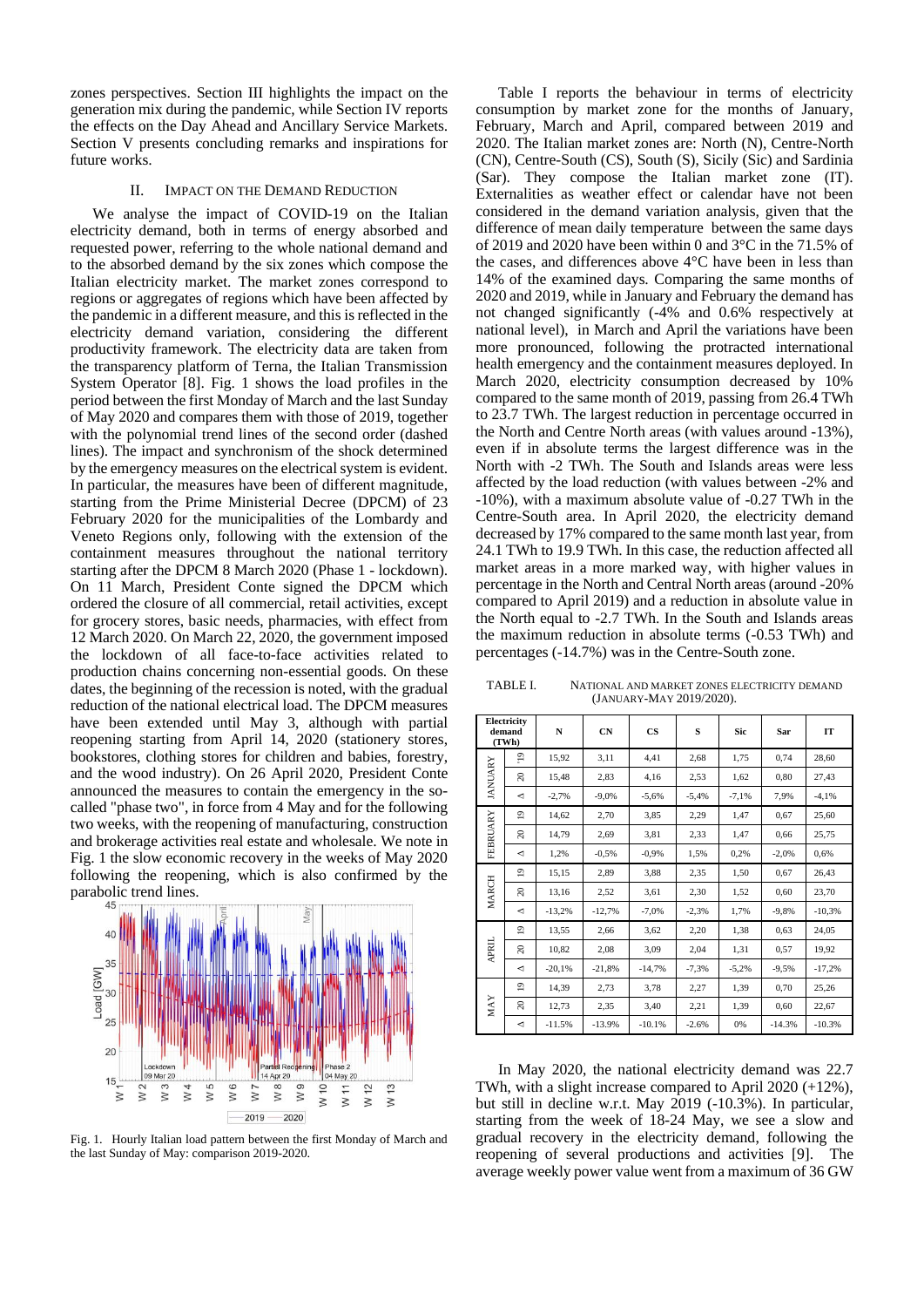zones perspectives. Section III highlights the impact on the generation mix during the pandemic, while Section IV reports the effects on the Day Ahead and Ancillary Service Markets. Section V presents concluding remarks and inspirations for future works.

#### II. IMPACT ON THE DEMAND REDUCTION

We analyse the impact of COVID-19 on the Italian electricity demand, both in terms of energy absorbed and requested power, referring to the whole national demand and to the absorbed demand by the six zones which compose the Italian electricity market. The market zones correspond to regions or aggregates of regions which have been affected by the pandemic in a different measure, and this is reflected in the electricity demand variation, considering the different productivity framework. The electricity data are taken from the transparency platform of Terna, the Italian Transmission System Operator [\[8\].](#page-6-7) Fig. 1 shows the load profiles in the period between the first Monday of March and the last Sunday of May 2020 and compares them with those of 2019, together with the polynomial trend lines of the second order (dashed lines). The impact and synchronism of the shock determined by the emergency measures on the electrical system is evident. In particular, the measures have been of different magnitude, starting from the Prime Ministerial Decree (DPCM) of 23 February 2020 for the municipalities of the Lombardy and Veneto Regions only, following with the extension of the containment measures throughout the national territory starting after the DPCM 8 March 2020 (Phase 1 - lockdown). On 11 March, President Conte signed the DPCM which ordered the closure of all commercial, retail activities, except for grocery stores, basic needs, pharmacies, with effect from 12 March 2020. On March 22, 2020, the government imposed the lockdown of all face-to-face activities related to production chains concerning non-essential goods. On these dates, the beginning of the recession is noted, with the gradual reduction of the national electrical load. The DPCM measures have been extended until May 3, although with partial reopening starting from April 14, 2020 (stationery stores, bookstores, clothing stores for children and babies, forestry, and the wood industry). On 26 April 2020, President Conte announced the measures to contain the emergency in the socalled "phase two", in force from 4 May and for the following two weeks, with the reopening of manufacturing, construction and brokerage activities real estate and wholesale. We note in Fig. 1 the slow economic recovery in the weeks of May 2020 following the reopening, which is also confirmed by the parabolic trend lines.



Fig. 1. Hourly Italian load pattern between the first Monday of March and the last Sunday of May: comparison 2019-2020.

Table I reports the behaviour in terms of electricity consumption by market zone for the months of January, February, March and April, compared between 2019 and 2020. The Italian market zones are: North (N), Centre-North (CN), Centre-South (CS), South (S), Sicily (Sic) and Sardinia (Sar). They compose the Italian market zone (IT). Externalities as weather effect or calendar have not been considered in the demand variation analysis, given that the difference of mean daily temperature between the same days of 2019 and 2020 have been within 0 and 3°C in the 71.5% of the cases, and differences above 4°C have been in less than 14% of the examined days. Comparing the same months of 2020 and 2019, while in January and February the demand has not changed significantly (-4% and 0.6% respectively at national level), in March and April the variations have been more pronounced, following the protracted international health emergency and the containment measures deployed. In March 2020, electricity consumption decreased by 10% compared to the same month of 2019, passing from 26.4 TWh to 23.7 TWh. The largest reduction in percentage occurred in the North and Centre North areas (with values around -13%), even if in absolute terms the largest difference was in the North with -2 TWh. The South and Islands areas were less affected by the load reduction (with values between -2% and -10%), with a maximum absolute value of -0.27 TWh in the Centre-South area. In April 2020, the electricity demand decreased by 17% compared to the same month last year, from 24.1 TWh to 19.9 TWh. In this case, the reduction affected all market areas in a more marked way, with higher values in percentage in the North and Central North areas (around -20% compared to April 2019) and a reduction in absolute value in the North equal to -2.7 TWh. In the South and Islands areas the maximum reduction in absolute terms (-0.53 TWh) and percentages (-14.7%) was in the Centre-South zone.

TABLE I. NATIONAL AND MARKET ZONES ELECTRICITY DEMAND (JANUARY-MAY 2019/2020).

|                | Electricity<br>demand<br>(TWh) | N        | CN       | $\mathbf{c}\mathbf{s}$ | S       | Sic     | Sar      | IT       |  |
|----------------|--------------------------------|----------|----------|------------------------|---------|---------|----------|----------|--|
|                | $\overline{e}$                 | 15,92    | 3,11     | 4,41                   | 2,68    | 1,75    | 0,74     | 28,60    |  |
| <b>JANUARY</b> | $\approx$                      | 15,48    | 2,83     | 4,16                   | 2,53    | 1,62    | 0,80     | 27,43    |  |
|                | ◅                              | $-2,7%$  | $-9.0%$  | $-5,6%$                | $-5,4%$ | $-7,1%$ | 7,9%     | $-4,1%$  |  |
|                | $\overline{0}$                 | 14,62    | 2,70     | 3,85                   | 2,29    | 1,47    | 0,67     | 25,60    |  |
| FEBRUARY       | 20                             | 14,79    | 2,69     | 3,81                   | 2,33    | 1,47    | 0,66     | 25,75    |  |
|                | ◅                              | 1,2%     | $-0.5%$  | $-0.9%$                | 1,5%    | 0,2%    | $-2,0%$  | 0,6%     |  |
|                | $\overline{0}$                 | 15,15    | 2,89     | 3,88                   | 2,35    | 1,50    | 0,67     | 26,43    |  |
| <b>MARCH</b>   | $\approx$                      | 13,16    | 2,52     | 3,61                   | 2,30    | 1,52    | 0,60     | 23,70    |  |
|                | ◁                              | $-13,2%$ | $-12,7%$ | $-7,0%$                | $-2,3%$ | 1,7%    | $-9.8%$  | $-10,3%$ |  |
|                | $\overline{0}$                 | 13,55    | 2,66     | 3,62                   | 2,20    | 1,38    | 0,63     | 24,05    |  |
| <b>APRIL</b>   | $\approx$                      | 10,82    | 2,08     | 3,09                   | 2,04    | 1,31    | 0,57     | 19,92    |  |
|                | ◅                              | $-20,1%$ | $-21,8%$ | $-14,7%$               | $-7,3%$ | $-5,2%$ | $-9.5%$  | $-17,2%$ |  |
| <b>MAY</b>     | $\overline{1}$                 | 14,39    | 2,73     | 3,78                   | 2,27    | 1,39    | 0,70     | 25,26    |  |
|                | $\approx$                      | 12,73    | 2,35     | 3,40                   | 2,21    | 1,39    | 0.60     | 22,67    |  |
|                | ◁                              | $-11.5%$ | $-13.9%$ | $-10.1%$               | $-2.6%$ | 0%      | $-14.3%$ | $-10.3%$ |  |

In May 2020, the national electricity demand was 22.7 TWh, with a slight increase compared to April 2020 (+12%), but still in decline w.r.t. May 2019 (-10.3%). In particular, starting from the week of 18-24 May, we see a slow and gradual recovery in the electricity demand, following the reopening of several productions and activities [\[9\].](#page-6-8) The average weekly power value went from a maximum of 36 GW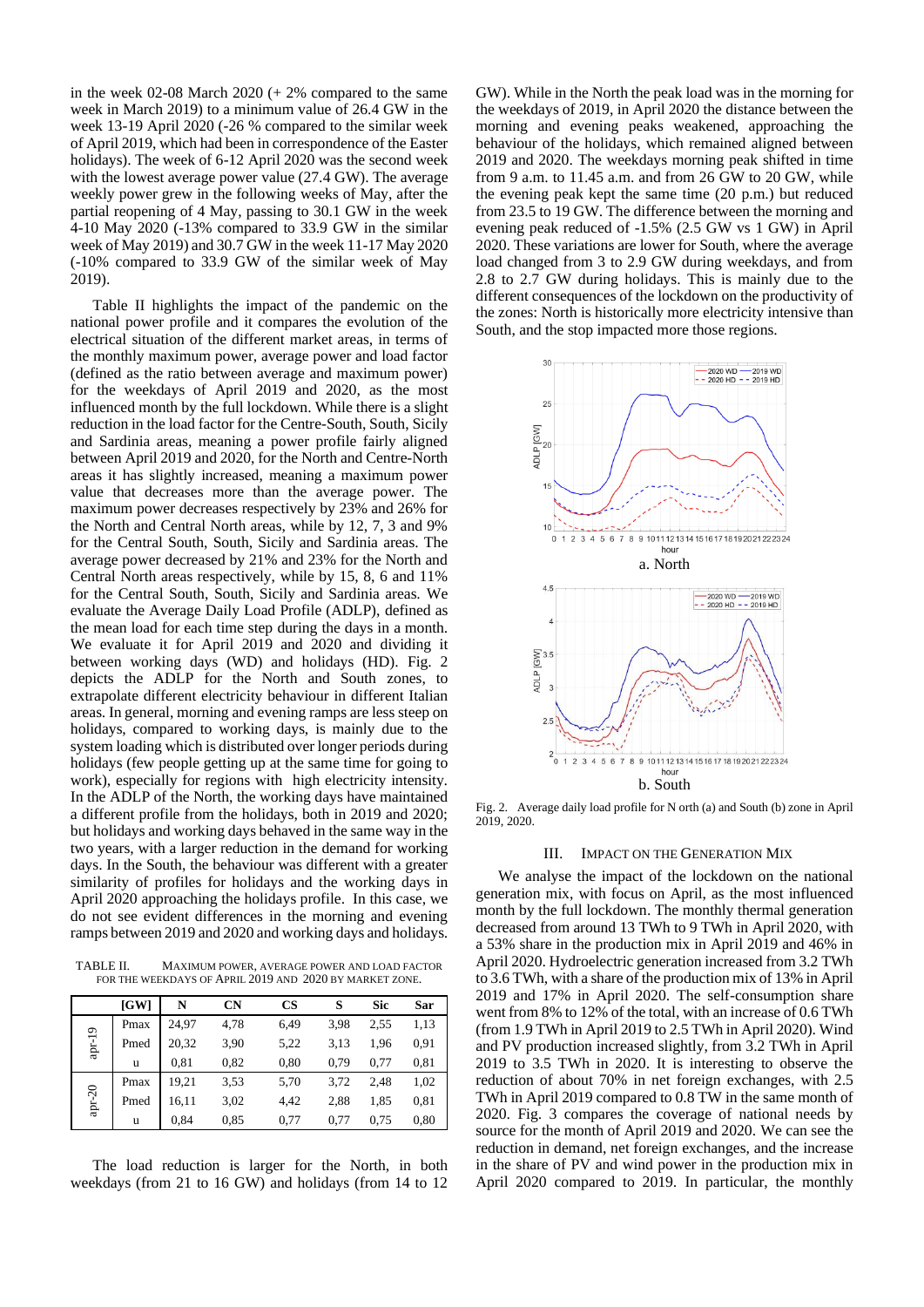in the week  $02-08$  March  $2020 (+ 2\%$  compared to the same week in March 2019) to a minimum value of 26.4 GW in the week 13-19 April 2020 (-26 % compared to the similar week of April 2019, which had been in correspondence of the Easter holidays). The week of 6-12 April 2020 was the second week with the lowest average power value (27.4 GW). The average weekly power grew in the following weeks of May, after the partial reopening of 4 May, passing to 30.1 GW in the week 4-10 May 2020 (-13% compared to 33.9 GW in the similar week of May 2019) and 30.7 GW in the week 11-17 May 2020 (-10% compared to 33.9 GW of the similar week of May 2019).

Table II highlights the impact of the pandemic on the national power profile and it compares the evolution of the electrical situation of the different market areas, in terms of the monthly maximum power, average power and load factor (defined as the ratio between average and maximum power) for the weekdays of April 2019 and 2020, as the most influenced month by the full lockdown. While there is a slight reduction in the load factor for the Centre-South, South, Sicily and Sardinia areas, meaning a power profile fairly aligned between April 2019 and 2020, for the North and Centre-North areas it has slightly increased, meaning a maximum power value that decreases more than the average power. The maximum power decreases respectively by 23% and 26% for the North and Central North areas, while by 12, 7, 3 and 9% for the Central South, South, Sicily and Sardinia areas. The average power decreased by 21% and 23% for the North and Central North areas respectively, while by 15, 8, 6 and 11% for the Central South, South, Sicily and Sardinia areas. We evaluate the Average Daily Load Profile (ADLP), defined as the mean load for each time step during the days in a month. We evaluate it for April 2019 and 2020 and dividing it between working days (WD) and holidays (HD). Fig. 2 depicts the ADLP for the North and South zones, to extrapolate different electricity behaviour in different Italian areas. In general, morning and evening ramps are less steep on holidays, compared to working days, is mainly due to the system loading which is distributed over longer periods during holidays (few people getting up at the same time for going to work), especially for regions with high electricity intensity. In the ADLP of the North, the working days have maintained a different profile from the holidays, both in 2019 and 2020; but holidays and working days behaved in the same way in the two years, with a larger reduction in the demand for working days. In the South, the behaviour was different with a greater similarity of profiles for holidays and the working days in April 2020 approaching the holidays profile. In this case, we do not see evident differences in the morning and evening ramps between 2019 and 2020 and working days and holidays.

TABLE II. MAXIMUM POWER, AVERAGE POWER AND LOAD FACTOR FOR THE WEEKDAYS OF APRIL 2019 AND 2020 BY MARKET ZONE.

|        | [GW] | N     | <b>CN</b> | $\mathbf{CS}$ | S    | Sic  | Sar  |
|--------|------|-------|-----------|---------------|------|------|------|
|        | Pmax | 24.97 | 4,78      | 6.49          | 3,98 | 2,55 | 1,13 |
| apr-19 | Pmed | 20,32 | 3,90      | 5,22          | 3,13 | 1,96 | 0.91 |
|        | u    | 0.81  | 0.82      | 0.80          | 0.79 | 0.77 | 0,81 |
|        | Pmax | 19,21 | 3,53      | 5,70          | 3,72 | 2,48 | 1,02 |
| apr-20 | Pmed | 16.11 | 3,02      | 4,42          | 2,88 | 1,85 | 0,81 |
|        | u    | 0.84  | 0.85      | 0.77          | 0.77 | 0.75 | 0.80 |

The load reduction is larger for the North, in both weekdays (from 21 to 16 GW) and holidays (from 14 to 12

GW). While in the North the peak load was in the morning for the weekdays of 2019, in April 2020 the distance between the morning and evening peaks weakened, approaching the behaviour of the holidays, which remained aligned between 2019 and 2020. The weekdays morning peak shifted in time from 9 a.m. to 11.45 a.m. and from 26 GW to 20 GW, while the evening peak kept the same time (20 p.m.) but reduced from 23.5 to 19 GW. The difference between the morning and evening peak reduced of -1.5% (2.5 GW vs 1 GW) in April 2020. These variations are lower for South, where the average load changed from 3 to 2.9 GW during weekdays, and from 2.8 to 2.7 GW during holidays. This is mainly due to the different consequences of the lockdown on the productivity of the zones: North is historically more electricity intensive than South, and the stop impacted more those regions.



Fig. 2. Average daily load profile for N orth (a) and South (b) zone in April 2019, 2020.

#### III. IMPACT ON THE GENERATION MIX

We analyse the impact of the lockdown on the national generation mix, with focus on April, as the most influenced month by the full lockdown. The monthly thermal generation decreased from around 13 TWh to 9 TWh in April 2020, with a 53% share in the production mix in April 2019 and 46% in April 2020. Hydroelectric generation increased from 3.2 TWh to 3.6 TWh, with a share of the production mix of 13% in April 2019 and 17% in April 2020. The self-consumption share went from 8% to 12% of the total, with an increase of 0.6 TWh (from 1.9 TWh in April 2019 to 2.5 TWh in April 2020). Wind and PV production increased slightly, from 3.2 TWh in April 2019 to 3.5 TWh in 2020. It is interesting to observe the reduction of about 70% in net foreign exchanges, with 2.5 TWh in April 2019 compared to 0.8 TW in the same month of 2020. Fig. 3 compares the coverage of national needs by source for the month of April 2019 and 2020. We can see the reduction in demand, net foreign exchanges, and the increase in the share of PV and wind power in the production mix in April 2020 compared to 2019. In particular, the monthly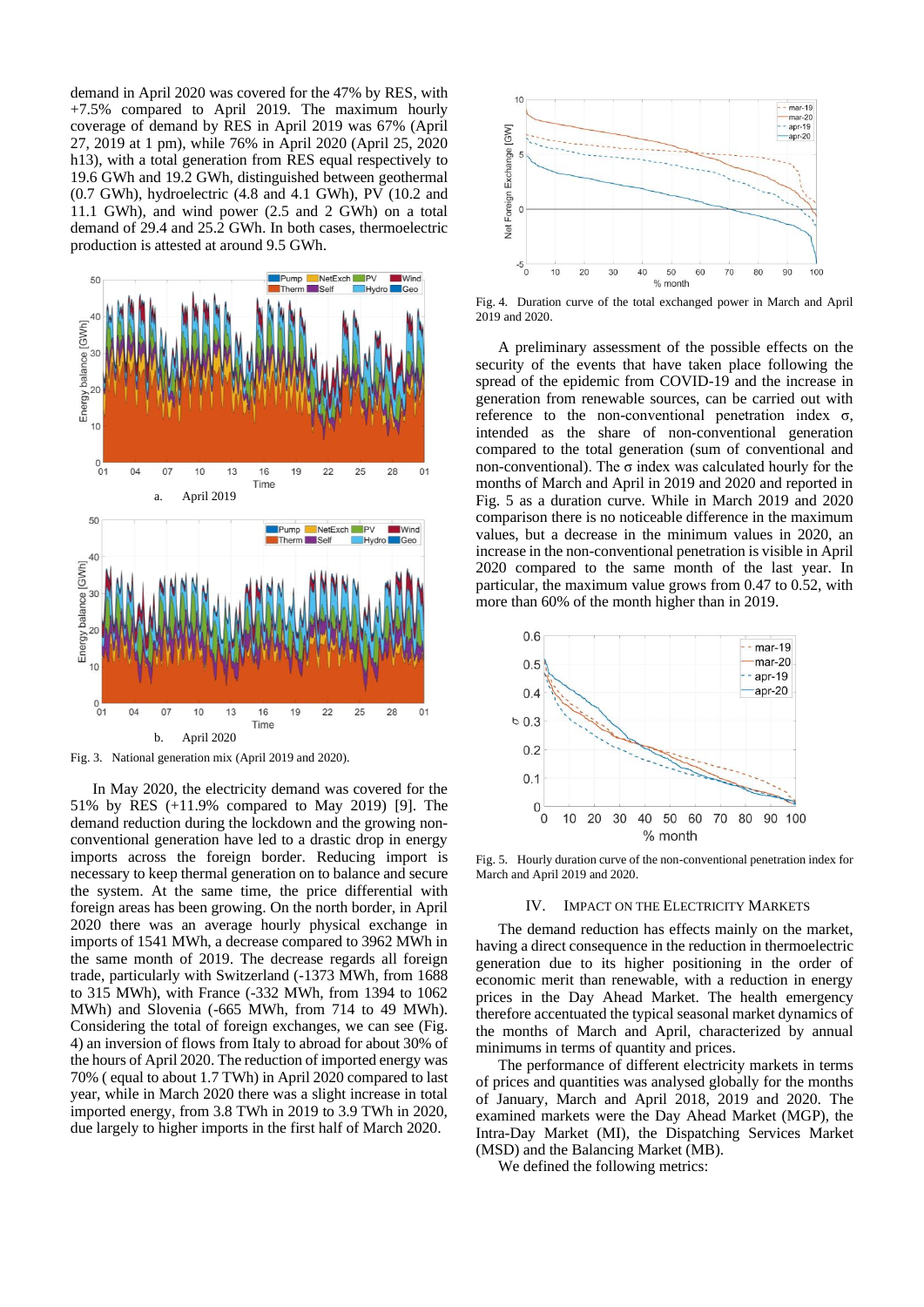demand in April 2020 was covered for the 47% by RES, with +7.5% compared to April 2019. The maximum hourly coverage of demand by RES in April 2019 was 67% (April 27, 2019 at 1 pm), while 76% in April 2020 (April 25, 2020 h13), with a total generation from RES equal respectively to 19.6 GWh and 19.2 GWh, distinguished between geothermal (0.7 GWh), hydroelectric (4.8 and 4.1 GWh), PV (10.2 and 11.1 GWh), and wind power (2.5 and 2 GWh) on a total demand of 29.4 and 25.2 GWh. In both cases, thermoelectric production is attested at around 9.5 GWh.



Fig. 3. National generation mix (April 2019 and 2020).

In May 2020, the electricity demand was covered for the 51% by RES (+11.9% compared to May 2019) [\[9\].](#page-6-8) The demand reduction during the lockdown and the growing nonconventional generation have led to a drastic drop in energy imports across the foreign border. Reducing import is necessary to keep thermal generation on to balance and secure the system. At the same time, the price differential with foreign areas has been growing. On the north border, in April 2020 there was an average hourly physical exchange in imports of 1541 MWh, a decrease compared to 3962 MWh in the same month of 2019. The decrease regards all foreign trade, particularly with Switzerland (-1373 MWh, from 1688 to 315 MWh), with France (-332 MWh, from 1394 to 1062 MWh) and Slovenia (-665 MWh, from 714 to 49 MWh). Considering the total of foreign exchanges, we can see (Fig. 4) an inversion of flows from Italy to abroad for about 30% of the hours of April 2020. The reduction of imported energy was 70% ( equal to about 1.7 TWh) in April 2020 compared to last year, while in March 2020 there was a slight increase in total imported energy, from 3.8 TWh in 2019 to 3.9 TWh in 2020, due largely to higher imports in the first half of March 2020.



Fig. 4. Duration curve of the total exchanged power in March and April 2019 and 2020.

A preliminary assessment of the possible effects on the security of the events that have taken place following the spread of the epidemic from COVID-19 and the increase in generation from renewable sources, can be carried out with reference to the non-conventional penetration index σ, intended as the share of non-conventional generation compared to the total generation (sum of conventional and non-conventional). The σ index was calculated hourly for the months of March and April in 2019 and 2020 and reported in Fig. 5 as a duration curve. While in March 2019 and 2020 comparison there is no noticeable difference in the maximum values, but a decrease in the minimum values in 2020, an increase in the non-conventional penetration is visible in April 2020 compared to the same month of the last year. In particular, the maximum value grows from 0.47 to 0.52, with more than 60% of the month higher than in 2019.



Fig. 5. Hourly duration curve of the non-conventional penetration index for March and April 2019 and 2020.

#### IV. IMPACT ON THE ELECTRICITY MARKETS

The demand reduction has effects mainly on the market, having a direct consequence in the reduction in thermoelectric generation due to its higher positioning in the order of economic merit than renewable, with a reduction in energy prices in the Day Ahead Market. The health emergency therefore accentuated the typical seasonal market dynamics of the months of March and April, characterized by annual minimums in terms of quantity and prices.

The performance of different electricity markets in terms of prices and quantities was analysed globally for the months of January, March and April 2018, 2019 and 2020. The examined markets were the Day Ahead Market (MGP), the Intra-Day Market (MI), the Dispatching Services Market (MSD) and the Balancing Market (MB).

We defined the following metrics: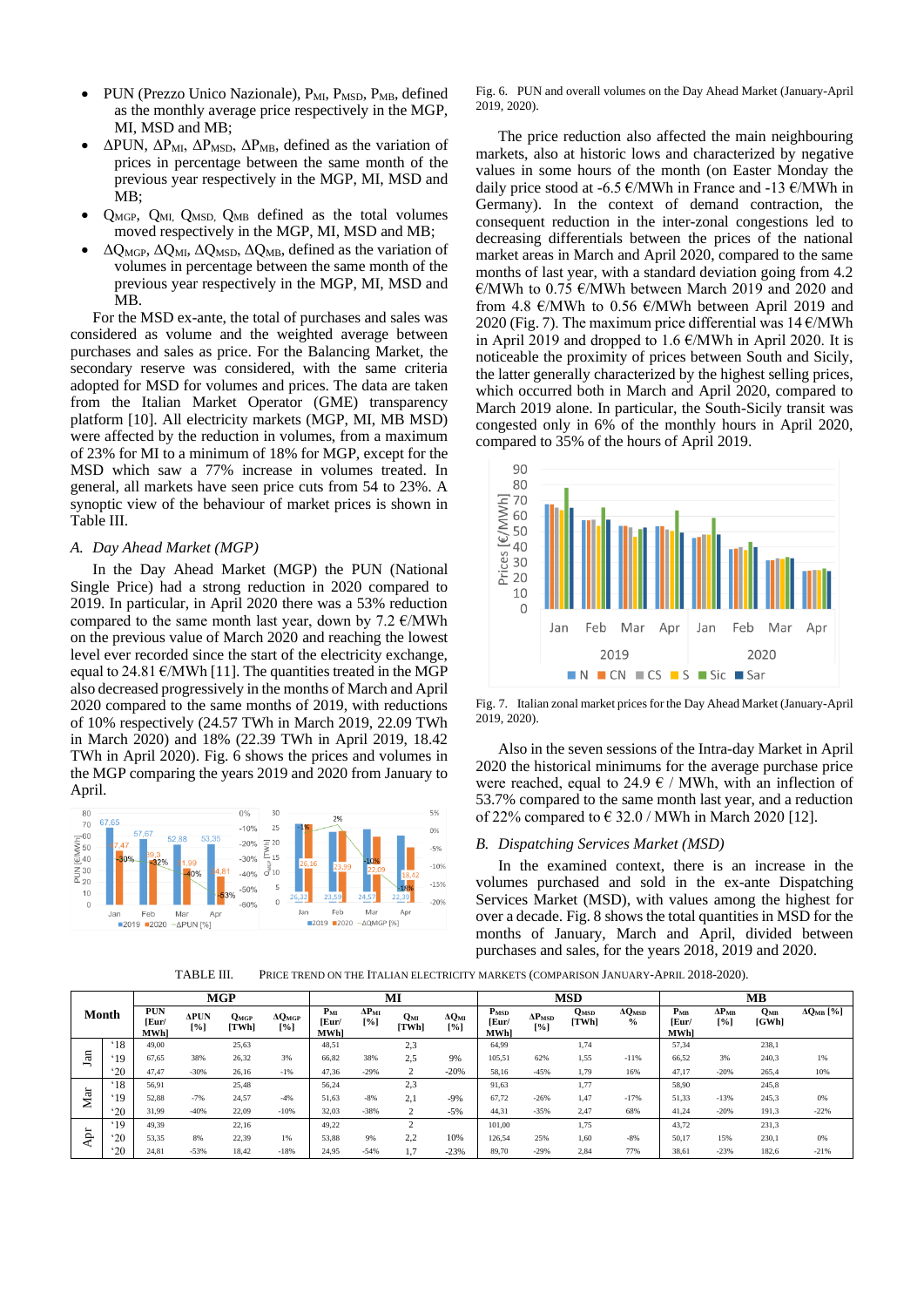- PUN (Prezzo Unico Nazionale), P<sub>MI</sub>, P<sub>MSD</sub>, P<sub>MB</sub>, defined as the monthly average price respectively in the MGP, MI, MSD and MB;
- $\Delta$ PUN,  $\Delta$ P<sub>MI</sub>,  $\Delta$ P<sub>MSD</sub>,  $\Delta$ P<sub>MB</sub>, defined as the variation of prices in percentage between the same month of the previous year respectively in the MGP, MI, MSD and MB;
- QMGP, QMI, QMSD, QMB defined as the total volumes moved respectively in the MGP, MI, MSD and MB;
- $\Delta Q_{\text{MGP}}$ ,  $\Delta Q_{\text{MI}}$ ,  $\Delta Q_{\text{MSD}}$ ,  $\Delta Q_{\text{MB}}$ , defined as the variation of volumes in percentage between the same month of the previous year respectively in the MGP, MI, MSD and MB.

For the MSD ex-ante, the total of purchases and sales was considered as volume and the weighted average between purchases and sales as price. For the Balancing Market, the secondary reserve was considered, with the same criteria adopted for MSD for volumes and prices. The data are taken from the Italian Market Operator (GME) transparency platform [\[10\].](#page-6-9) All electricity markets (MGP, MI, MB MSD) were affected by the reduction in volumes, from a maximum of 23% for MI to a minimum of 18% for MGP, except for the MSD which saw a 77% increase in volumes treated. In general, all markets have seen price cuts from 54 to 23%. A synoptic view of the behaviour of market prices is shown in Table III.

### *A. Day Ahead Market (MGP)*

In the Day Ahead Market (MGP) the PUN (National Single Price) had a strong reduction in 2020 compared to 2019. In particular, in April 2020 there was a 53% reduction compared to the same month last year, down by  $7.2 \text{ } \in \text{/MWh}$ on the previous value of March 2020 and reaching the lowest level ever recorded since the start of the electricity exchange, equal to 24.81  $\epsilon$ /MW[h \[11\].](#page-6-10) The quantities treated in the MGP also decreased progressively in the months of March and April 2020 compared to the same months of 2019, with reductions of 10% respectively (24.57 TWh in March 2019, 22.09 TWh in March 2020) and 18% (22.39 TWh in April 2019, 18.42 TWh in April 2020). Fig. 6 shows the prices and volumes in the MGP comparing the years 2019 and 2020 from January to April.



Fig. 6. PUN and overall volumes on the Day Ahead Market (January-April 2019, 2020).

The price reduction also affected the main neighbouring markets, also at historic lows and characterized by negative values in some hours of the month (on Easter Monday the daily price stood at -6.5  $\epsilon$ /MWh in France and -13  $\epsilon$ /MWh in Germany). In the context of demand contraction, the consequent reduction in the inter-zonal congestions led to decreasing differentials between the prices of the national market areas in March and April 2020, compared to the same months of last year, with a standard deviation going from 4.2 €/MWh to 0.75 €/MWh between March 2019 and 2020 and from 4.8  $\epsilon$ /MWh to 0.56  $\epsilon$ /MWh between April 2019 and 2020 (Fig. 7). The maximum price differential was  $14 \text{ E/MWh}$ in April 2019 and dropped to 1.6  $\epsilon$ /MWh in April 2020. It is noticeable the proximity of prices between South and Sicily, the latter generally characterized by the highest selling prices, which occurred both in March and April 2020, compared to March 2019 alone. In particular, the South-Sicily transit was congested only in 6% of the monthly hours in April 2020, compared to 35% of the hours of April 2019.



Fig. 7. Italian zonal market prices for the Day Ahead Market (January-April 2019, 2020).

Also in the seven sessions of the Intra-day Market in April 2020 the historical minimums for the average purchase price were reached, equal to 24.9  $\epsilon$  / MWh, with an inflection of 53.7% compared to the same month last year, and a reduction of 22% compared to  $\in$  32.0 / MWh in March 2020 [\[12\].](#page-6-11)

#### *B. Dispatching Services Market (MSD)*

In the examined context, there is an increase in the volumes purchased and sold in the ex-ante Dispatching Services Market (MSD), with values among the highest for over a decade. Fig. 8 shows the total quantities in MSD for the months of January, March and April, divided between purchases and sales, for the years 2018, 2019 and 2020.

TABLE III. PRICE TREND ON THE ITALIAN ELECTRICITY MARKETS (COMPARISON JANUARY-APRIL 2018-2020).

|       |                | <b>MGP</b>                         |                    |                    |                       | MI                              |                            |              |                            | <b>MSD</b>                       |                             |                      |                                            | MB                        |                        |                   |                     |
|-------|----------------|------------------------------------|--------------------|--------------------|-----------------------|---------------------------------|----------------------------|--------------|----------------------------|----------------------------------|-----------------------------|----------------------|--------------------------------------------|---------------------------|------------------------|-------------------|---------------------|
| Month |                | <b>PUN</b><br>[Eur/<br><b>MWhl</b> | <b>APUN</b><br>[%] | $Q_{MGP}$<br>[TWh] | $\Delta Q$ MGP<br>[%] | $P_{ML}$<br>[Eur/<br><b>MWh</b> | $\Delta P_{\rm MI}$<br>[%] | Qми<br>[TWh] | $\Delta Q_{\rm MI}$<br>[%] | P <sub>MSD</sub><br>Eur/<br>MWh] | $\Delta P_{\rm MSD}$<br>[%] | <b>QMSD</b><br>[TWh] | $\Delta Q$ <sub>MSD</sub><br>$\frac{0}{0}$ | $P_{MB}$<br>[Eur/<br>MWh] | $\Delta P_{MB}$<br>[%] | $Q_{MB}$<br>[GWh] | $\Delta Q_{MB}$ [%] |
| Jan   | $^418$         | 49.00                              |                    | 25,63              |                       | 48.51                           |                            | 2,3          |                            | 64.99                            |                             | 1,74                 |                                            | 57.34                     |                        | 238,1             |                     |
|       | .19            | 67,65                              | 38%                | 26,32              | 3%                    | 66,82                           | 38%                        | 2.5          | 9%                         | 105,51                           | 62%                         | 1,55                 | $-11%$                                     | 66,52                     | 3%                     | 240,3             | 1%                  |
|       | 20             | 47.47                              | $-30%$             | 26,16              | $-1%$                 | 47,36                           | $-29%$                     |              | $-20%$                     | 58,16                            | $-45%$                      | 1,79                 | 16%                                        | 47,17                     | $-20%$                 | 265,4             | 10%                 |
| Mar   | $^418$         | 56.91                              |                    | 25,48              |                       | 56,24                           |                            | 2,3          |                            | 91,63                            |                             | 1,77                 |                                            | 58,90                     |                        | 245,8             |                     |
|       | <sup>'19</sup> | 52,88                              | $-7%$              | 24,57              | $-4%$                 | 51,63                           | $-8%$                      | 2,1          | $-9%$                      | 67,72                            | $-26%$                      | 1,47                 | $-17%$                                     | 51,33                     | $-13%$                 | 245,3             | 0%                  |
|       | 20             | 31.99                              | $-40%$             | 22,09              | $-10%$                | 32,03                           | $-38%$                     |              | $-5%$                      | 44.31                            | $-35%$                      | 2.47                 | 68%                                        | 41,24                     | $-20%$                 | 191,3             | $-22%$              |
| ᄇ     | .19            | 49,39                              |                    | 22,16              |                       | 49,22                           |                            |              |                            | 101,00                           |                             | 1,75                 |                                            | 43,72                     |                        | 231,3             |                     |
|       | 20             | 53,35                              | 8%                 | 22,39              | 1%                    | 53,88                           | 9%                         | 2,2          | 10%                        | 126,54                           | 25%                         | 1,60                 | $-8%$                                      | 50,17                     | 15%                    | 230,1             | 0%                  |
|       | $^{\circ}20$   | 24,81                              | $-53%$             | 18,42              | $-18%$                | 24,95                           | $-54%$                     | 1.7          | $-23%$                     | 89,70                            | $-29%$                      | 2,84                 | 77%                                        | 38,61                     | $-23%$                 | 182,6             | $-21%$              |